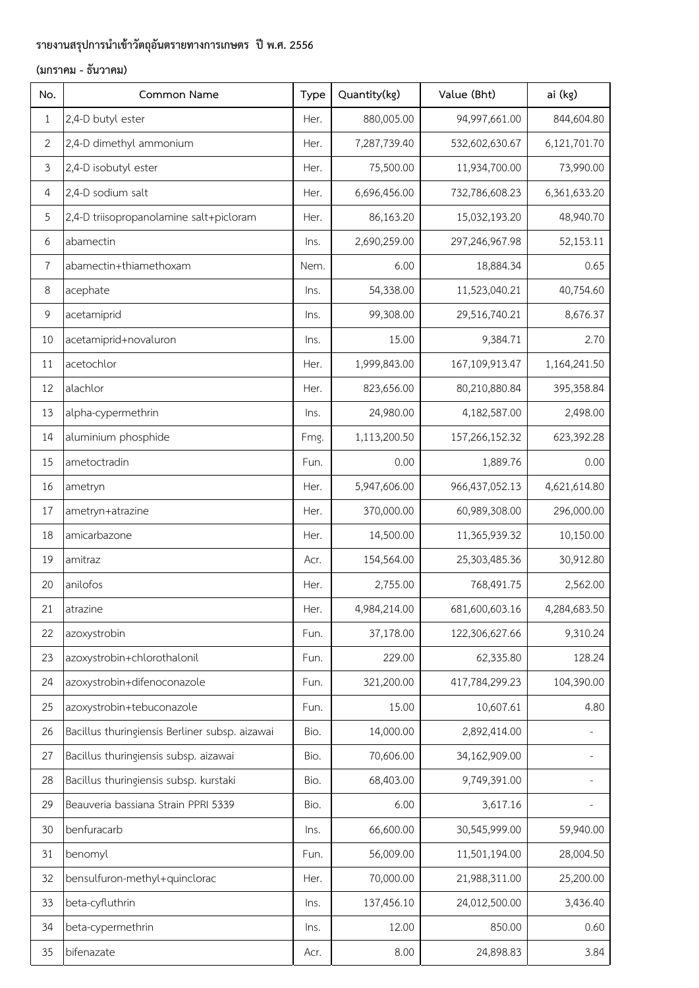| No.            | Common Name                                    | Type | Quantity(kg) | Value (Bht)    | ai (kg)      |
|----------------|------------------------------------------------|------|--------------|----------------|--------------|
| $\mathbf{1}$   | 2,4-D butyl ester                              | Her. | 880,005.00   | 94,997,661.00  | 844,604.80   |
| $\overline{2}$ | 2,4-D dimethyl ammonium                        | Her. | 7,287,739.40 | 532,602,630.67 | 6,121,701.70 |
| 3              | 2,4-D isobutyl ester                           | Her. | 75,500.00    | 11,934,700.00  | 73,990.00    |
| 4              | 2,4-D sodium salt                              | Her. | 6,696,456.00 | 732,786,608.23 | 6,361,633.20 |
| 5              | 2,4-D triisopropanolamine salt+picloram        | Her. | 86,163.20    | 15,032,193.20  | 48,940.70    |
| 6              | abamectin                                      | Ins. | 2,690,259.00 | 297,246,967.98 | 52,153.11    |
| $\overline{7}$ | abamectin+thiamethoxam                         | Nem. | 6.00         | 18,884.34      | 0.65         |
| $\,8\,$        | acephate                                       | Ins. | 54,338.00    | 11,523,040.21  | 40,754.60    |
| $\mathsf 9$    | acetamiprid                                    | Ins. | 99,308.00    | 29,516,740.21  | 8,676.37     |
| 10             | acetamiprid+novaluron                          | lns. | 15.00        | 9,384.71       | 2.70         |
| $11\,$         | acetochlor                                     | Her. | 1,999,843.00 | 167,109,913.47 | 1,164,241.50 |
| 12             | alachlor                                       | Her. | 823,656.00   | 80,210,880.84  | 395,358.84   |
| 13             | alpha-cypermethrin                             | Ins. | 24,980.00    | 4,182,587.00   | 2,498.00     |
| 14             | aluminium phosphide                            | Fmg. | 1,113,200.50 | 157,266,152.32 | 623,392.28   |
| 15             | ametoctradin                                   | Fun. | 0.00         | 1,889.76       | 0.00         |
| 16             | ametryn                                        | Her. | 5,947,606.00 | 966,437,052.13 | 4,621,614.80 |
| 17             | ametryn+atrazine                               | Her. | 370,000.00   | 60,989,308.00  | 296,000.00   |
| 18             | amicarbazone                                   | Her. | 14,500.00    | 11,365,939.32  | 10,150.00    |
| 19             | amitraz                                        | Acr. | 154,564.00   | 25,303,485.36  | 30,912.80    |
| 20             | anilofos                                       | Her. | 2,755.00     | 768,491.75     | 2,562.00     |
| 21             | atrazine                                       | Her. | 4,984,214.00 | 681,600,603.16 | 4,284,683.50 |
| 22             | azoxystrobin                                   | Fun. | 37,178.00    | 122,306,627.66 | 9,310.24     |
| 23             | azoxystrobin+chlorothalonil                    | Fun. | 229.00       | 62,335.80      | 128.24       |
| 24             | azoxystrobin+difenoconazole                    | Fun. | 321,200.00   | 417,784,299.23 | 104,390.00   |
| 25             | azoxystrobin+tebuconazole                      | Fun. | 15.00        | 10,607.61      | 4.80         |
| 26             | Bacillus thuringiensis Berliner subsp. aizawai | Bio. | 14,000.00    | 2,892,414.00   |              |
| 27             | Bacillus thuringiensis subsp. aizawai          | Bio. | 70,606.00    | 34,162,909.00  |              |
| 28             | Bacillus thuringiensis subsp. kurstaki         | Bio. | 68,403.00    | 9,749,391.00   |              |
| 29             | Beauveria bassiana Strain PPRI 5339            | Bio. | 6.00         | 3,617.16       |              |
| 30             | benfuracarb                                    | Ins. | 66,600.00    | 30,545,999.00  | 59,940.00    |
| 31             | benomyl                                        | Fun. | 56,009.00    | 11,501,194.00  | 28,004.50    |
| 32             | bensulfuron-methyl+quinclorac                  | Her. | 70,000.00    | 21,988,311.00  | 25,200.00    |
| 33             | beta-cyfluthrin                                | Ins. | 137,456.10   | 24,012,500.00  | 3,436.40     |
| 34             | beta-cypermethrin                              | Ins. | 12.00        | 850.00         | 0.60         |
| 35             | bifenazate                                     | Acr. | 8.00         | 24,898.83      | 3.84         |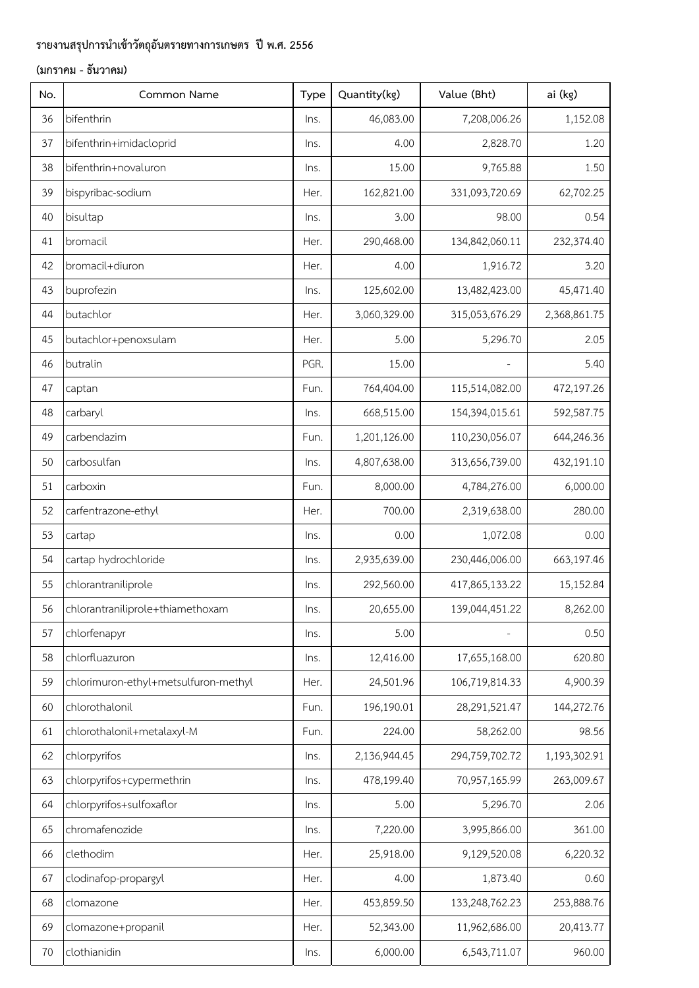| No. | Common Name                          | Type | Quantity(kg) | Value (Bht)    | ai (kg)      |
|-----|--------------------------------------|------|--------------|----------------|--------------|
| 36  | bifenthrin                           | Ins. | 46,083.00    | 7,208,006.26   | 1,152.08     |
| 37  | bifenthrin+imidacloprid              | lns. | 4.00         | 2,828.70       | 1.20         |
| 38  | bifenthrin+novaluron                 | Ins. | 15.00        | 9,765.88       | 1.50         |
| 39  | bispyribac-sodium                    | Her. | 162,821.00   | 331,093,720.69 | 62,702.25    |
| 40  | bisultap                             | Ins. | 3.00         | 98.00          | 0.54         |
| 41  | bromacil                             | Her. | 290,468.00   | 134,842,060.11 | 232,374.40   |
| 42  | bromacil+diuron                      | Her. | 4.00         | 1,916.72       | 3.20         |
| 43  | buprofezin                           | Ins. | 125,602.00   | 13,482,423.00  | 45,471.40    |
| 44  | butachlor                            | Her. | 3,060,329.00 | 315,053,676.29 | 2,368,861.75 |
| 45  | butachlor+penoxsulam                 | Her. | 5.00         | 5,296.70       | 2.05         |
| 46  | butralin                             | PGR. | 15.00        |                | 5.40         |
| 47  | captan                               | Fun. | 764,404.00   | 115,514,082.00 | 472,197.26   |
| 48  | carbaryl                             | Ins. | 668,515.00   | 154,394,015.61 | 592,587.75   |
| 49  | carbendazim                          | Fun. | 1,201,126.00 | 110,230,056.07 | 644,246.36   |
| 50  | carbosulfan                          | lns. | 4,807,638.00 | 313,656,739.00 | 432,191.10   |
| 51  | carboxin                             | Fun. | 8,000.00     | 4,784,276.00   | 6,000.00     |
| 52  | carfentrazone-ethyl                  | Her. | 700.00       | 2,319,638.00   | 280.00       |
| 53  | cartap                               | Ins. | 0.00         | 1,072.08       | 0.00         |
| 54  | cartap hydrochloride                 | Ins. | 2,935,639.00 | 230,446,006.00 | 663,197.46   |
| 55  | chlorantraniliprole                  | Ins. | 292,560.00   | 417,865,133.22 | 15,152.84    |
| 56  | chlorantraniliprole+thiamethoxam     | Ins. | 20,655.00    | 139,044,451.22 | 8,262.00     |
| 57  | chlorfenapyr                         | Ins. | 5.00         |                | 0.50         |
| 58  | chlorfluazuron                       | lns. | 12,416.00    | 17,655,168.00  | 620.80       |
| 59  | chlorimuron-ethyl+metsulfuron-methyl | Her. | 24,501.96    | 106,719,814.33 | 4,900.39     |
| 60  | chlorothalonil                       | Fun. | 196,190.01   | 28,291,521.47  | 144,272.76   |
| 61  | chlorothalonil+metalaxyl-M           | Fun. | 224.00       | 58,262.00      | 98.56        |
| 62  | chlorpyrifos                         | lns. | 2,136,944.45 | 294,759,702.72 | 1,193,302.91 |
| 63  | chlorpyrifos+cypermethrin            | lns. | 478,199.40   | 70,957,165.99  | 263,009.67   |
| 64  | chlorpyrifos+sulfoxaflor             | lns. | 5.00         | 5,296.70       | 2.06         |
| 65  | chromafenozide                       | Ins. | 7,220.00     | 3,995,866.00   | 361.00       |
| 66  | clethodim                            | Her. | 25,918.00    | 9,129,520.08   | 6,220.32     |
| 67  | clodinafop-propargyl                 | Her. | 4.00         | 1,873.40       | 0.60         |
| 68  | clomazone                            | Her. | 453,859.50   | 133,248,762.23 | 253,888.76   |
| 69  | clomazone+propanil                   | Her. | 52,343.00    | 11,962,686.00  | 20,413.77    |
| 70  | clothianidin                         | Ins. | 6,000.00     | 6,543,711.07   | 960.00       |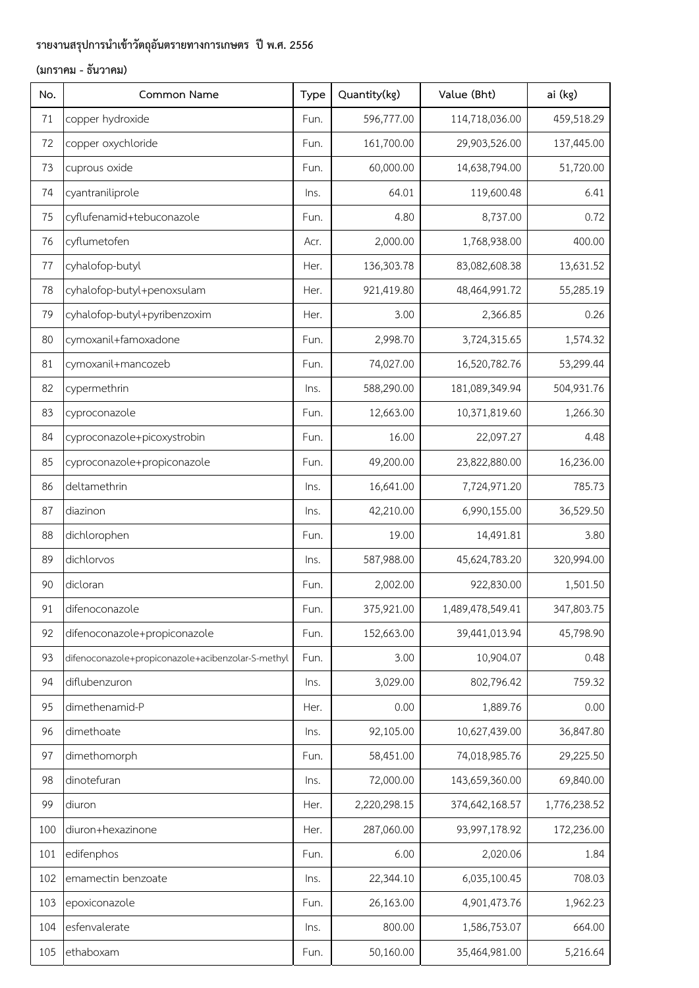| No. | Common Name                                       | Type | Quantity(kg) | Value (Bht)      | ai (kg)      |
|-----|---------------------------------------------------|------|--------------|------------------|--------------|
| 71  | copper hydroxide                                  | Fun. | 596,777.00   | 114,718,036.00   | 459,518.29   |
| 72  | copper oxychloride                                | Fun. | 161,700.00   | 29,903,526.00    | 137,445.00   |
| 73  | cuprous oxide                                     | Fun. | 60,000.00    | 14,638,794.00    | 51,720.00    |
| 74  | cyantraniliprole                                  | Ins. | 64.01        | 119,600.48       | 6.41         |
| 75  | cyflufenamid+tebuconazole                         | Fun. | 4.80         | 8,737.00         | 0.72         |
| 76  | cyflumetofen                                      | Acr. | 2,000.00     | 1,768,938.00     | 400.00       |
| 77  | cyhalofop-butyl                                   | Her. | 136,303.78   | 83,082,608.38    | 13,631.52    |
| 78  | cyhalofop-butyl+penoxsulam                        | Her. | 921,419.80   | 48,464,991.72    | 55,285.19    |
| 79  | cyhalofop-butyl+pyribenzoxim                      | Her. | 3.00         | 2,366.85         | 0.26         |
| 80  | cymoxanil+famoxadone                              | Fun. | 2,998.70     | 3,724,315.65     | 1,574.32     |
| 81  | cymoxanil+mancozeb                                | Fun. | 74,027.00    | 16,520,782.76    | 53,299.44    |
| 82  | cypermethrin                                      | lns. | 588,290.00   | 181,089,349.94   | 504,931.76   |
| 83  | cyproconazole                                     | Fun. | 12,663.00    | 10,371,819.60    | 1,266.30     |
| 84  | cyproconazole+picoxystrobin                       | Fun. | 16.00        | 22,097.27        | 4.48         |
| 85  | cyproconazole+propiconazole                       | Fun. | 49,200.00    | 23,822,880.00    | 16,236.00    |
| 86  | deltamethrin                                      | Ins. | 16,641.00    | 7,724,971.20     | 785.73       |
| 87  | diazinon                                          | Ins. | 42,210.00    | 6,990,155.00     | 36,529.50    |
| 88  | dichlorophen                                      | Fun. | 19.00        | 14,491.81        | 3.80         |
| 89  | dichlorvos                                        | Ins. | 587,988.00   | 45,624,783.20    | 320,994.00   |
| 90  | dicloran                                          | Fun. | 2,002.00     | 922,830.00       | 1,501.50     |
| 91  | difenoconazole                                    | Fun. | 375,921.00   | 1,489,478,549.41 | 347,803.75   |
| 92  | difenoconazole+propiconazole                      | Fun. | 152,663.00   | 39,441,013.94    | 45,798.90    |
| 93  | difenoconazole+propiconazole+acibenzolar-S-methyl | Fun. | 3.00         | 10,904.07        | 0.48         |
| 94  | diflubenzuron                                     | lns. | 3,029.00     | 802,796.42       | 759.32       |
| 95  | dimethenamid-P                                    | Her. | 0.00         | 1,889.76         | 0.00         |
| 96  | dimethoate                                        | lns. | 92,105.00    | 10,627,439.00    | 36,847.80    |
| 97  | dimethomorph                                      | Fun. | 58,451.00    | 74,018,985.76    | 29,225.50    |
| 98  | dinotefuran                                       | Ins. | 72,000.00    | 143,659,360.00   | 69,840.00    |
| 99  | diuron                                            | Her. | 2,220,298.15 | 374,642,168.57   | 1,776,238.52 |
| 100 | diuron+hexazinone                                 | Her. | 287,060.00   | 93,997,178.92    | 172,236.00   |
| 101 | edifenphos                                        | Fun. | 6.00         | 2,020.06         | 1.84         |
| 102 | emamectin benzoate                                | lns. | 22,344.10    | 6,035,100.45     | 708.03       |
| 103 | epoxiconazole                                     | Fun. | 26,163.00    | 4,901,473.76     | 1,962.23     |
| 104 | esfenvalerate                                     | Ins. | 800.00       | 1,586,753.07     | 664.00       |
| 105 | ethaboxam                                         | Fun. | 50,160.00    | 35,464,981.00    | 5,216.64     |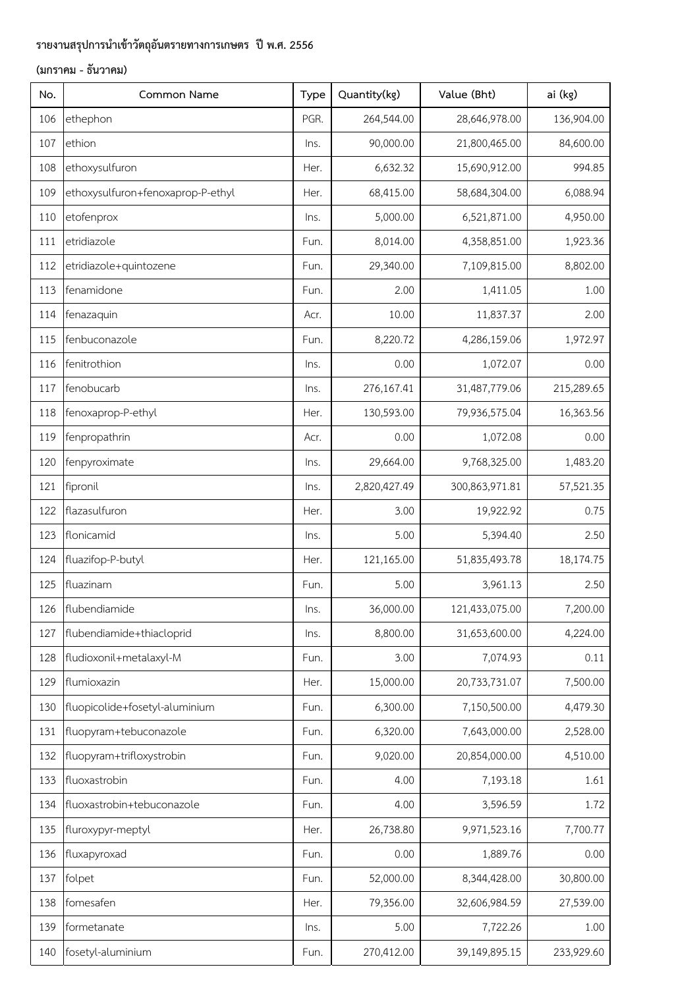| No. | Common Name                       | Type | Quantity(kg) | Value (Bht)    | ai (kg)    |
|-----|-----------------------------------|------|--------------|----------------|------------|
| 106 | ethephon                          | PGR. | 264,544.00   | 28,646,978.00  | 136,904.00 |
| 107 | ethion                            | lns. | 90,000.00    | 21,800,465.00  | 84,600.00  |
| 108 | ethoxysulfuron                    | Her. | 6,632.32     | 15,690,912.00  | 994.85     |
| 109 | ethoxysulfuron+fenoxaprop-P-ethyl | Her. | 68,415.00    | 58,684,304.00  | 6,088.94   |
| 110 | etofenprox                        | Ins. | 5,000.00     | 6,521,871.00   | 4,950.00   |
| 111 | etridiazole                       | Fun. | 8,014.00     | 4,358,851.00   | 1,923.36   |
| 112 | etridiazole+quintozene            | Fun. | 29,340.00    | 7,109,815.00   | 8,802.00   |
| 113 | fenamidone                        | Fun. | 2.00         | 1,411.05       | 1.00       |
| 114 | fenazaquin                        | Acr. | 10.00        | 11,837.37      | 2.00       |
| 115 | fenbuconazole                     | Fun. | 8,220.72     | 4,286,159.06   | 1,972.97   |
| 116 | fenitrothion                      | Ins. | 0.00         | 1,072.07       | 0.00       |
| 117 | fenobucarb                        | Ins. | 276,167.41   | 31,487,779.06  | 215,289.65 |
| 118 | fenoxaprop-P-ethyl                | Her. | 130,593.00   | 79,936,575.04  | 16,363.56  |
| 119 | fenpropathrin                     | Acr. | 0.00         | 1,072.08       | 0.00       |
| 120 | fenpyroximate                     | lns. | 29,664.00    | 9,768,325.00   | 1,483.20   |
| 121 | fipronil                          | Ins. | 2,820,427.49 | 300,863,971.81 | 57,521.35  |
| 122 | flazasulfuron                     | Her. | 3.00         | 19,922.92      | 0.75       |
| 123 | flonicamid                        | Ins. | 5.00         | 5,394.40       | 2.50       |
| 124 | fluazifop-P-butyl                 | Her. | 121,165.00   | 51,835,493.78  | 18,174.75  |
| 125 | fluazinam                         | Fun. | 5.00         | 3,961.13       | 2.50       |
| 126 | flubendiamide                     | Ins. | 36,000.00    | 121,433,075.00 | 7,200.00   |
| 127 | flubendiamide+thiacloprid         | Ins. | 8,800.00     | 31,653,600.00  | 4,224.00   |
| 128 | fludioxonil+metalaxyl-M           | Fun. | 3.00         | 7,074.93       | 0.11       |
| 129 | flumioxazin                       | Her. | 15,000.00    | 20,733,731.07  | 7,500.00   |
| 130 | fluopicolide+fosetyl-aluminium    | Fun. | 6,300.00     | 7,150,500.00   | 4,479.30   |
| 131 | fluopyram+tebuconazole            | Fun. | 6,320.00     | 7,643,000.00   | 2,528.00   |
| 132 | fluopyram+trifloxystrobin         | Fun. | 9,020.00     | 20,854,000.00  | 4,510.00   |
| 133 | fluoxastrobin                     | Fun. | 4.00         | 7,193.18       | 1.61       |
| 134 | fluoxastrobin+tebuconazole        | Fun. | 4.00         | 3,596.59       | 1.72       |
| 135 | fluroxypyr-meptyl                 | Her. | 26,738.80    | 9,971,523.16   | 7,700.77   |
| 136 | fluxapyroxad                      | Fun. | 0.00         | 1,889.76       | 0.00       |
| 137 | folpet                            | Fun. | 52,000.00    | 8,344,428.00   | 30,800.00  |
| 138 | fomesafen                         | Her. | 79,356.00    | 32,606,984.59  | 27,539.00  |
| 139 | formetanate                       | lns. | 5.00         | 7,722.26       | 1.00       |
| 140 | fosetyl-aluminium                 | Fun. | 270,412.00   | 39,149,895.15  | 233,929.60 |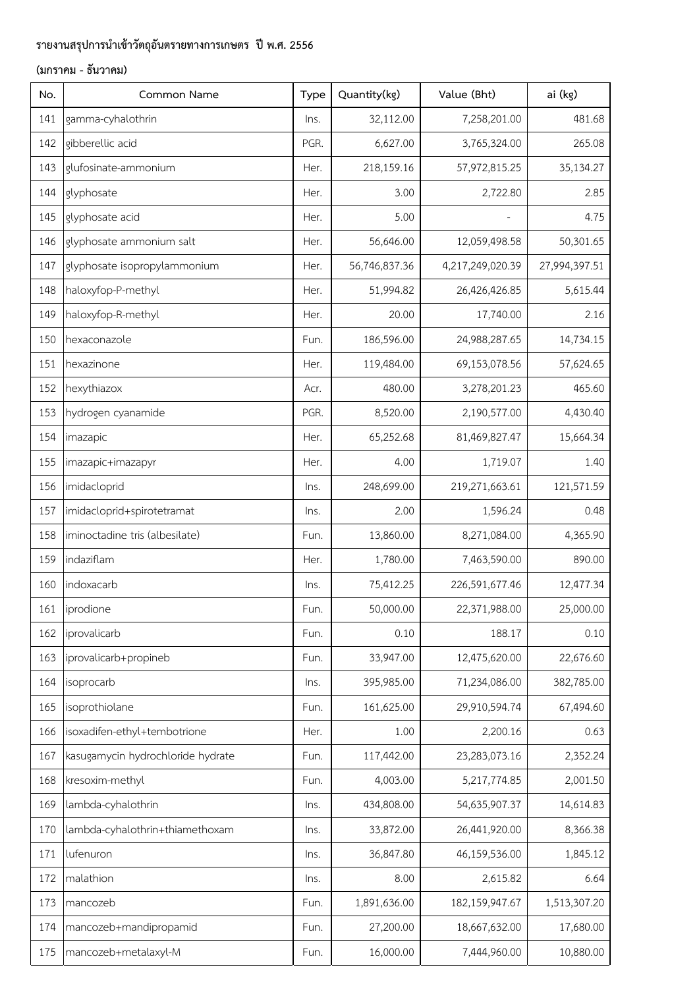| No. | Common Name                       | Type | Quantity(kg)  | Value (Bht)      | ai (kg)       |
|-----|-----------------------------------|------|---------------|------------------|---------------|
| 141 | gamma-cyhalothrin                 | lns. | 32,112.00     | 7,258,201.00     | 481.68        |
| 142 | gibberellic acid                  | PGR. | 6,627.00      | 3,765,324.00     | 265.08        |
| 143 | glufosinate-ammonium              | Her. | 218,159.16    | 57,972,815.25    | 35,134.27     |
| 144 | glyphosate                        | Her. | 3.00          | 2,722.80         | 2.85          |
| 145 | glyphosate acid                   | Her. | 5.00          |                  | 4.75          |
| 146 | glyphosate ammonium salt          | Her. | 56,646.00     | 12,059,498.58    | 50,301.65     |
| 147 | glyphosate isopropylammonium      | Her. | 56,746,837.36 | 4,217,249,020.39 | 27,994,397.51 |
| 148 | haloxyfop-P-methyl                | Her. | 51,994.82     | 26,426,426.85    | 5,615.44      |
| 149 | haloxyfop-R-methyl                | Her. | 20.00         | 17,740.00        | 2.16          |
| 150 | hexaconazole                      | Fun. | 186,596.00    | 24,988,287.65    | 14,734.15     |
| 151 | hexazinone                        | Her. | 119,484.00    | 69,153,078.56    | 57,624.65     |
| 152 | hexythiazox                       | Acr. | 480.00        | 3,278,201.23     | 465.60        |
| 153 | hydrogen cyanamide                | PGR. | 8,520.00      | 2,190,577.00     | 4,430.40      |
| 154 | imazapic                          | Her. | 65,252.68     | 81,469,827.47    | 15,664.34     |
| 155 | imazapic+imazapyr                 | Her. | 4.00          | 1,719.07         | 1.40          |
| 156 | imidacloprid                      | Ins. | 248,699.00    | 219,271,663.61   | 121,571.59    |
| 157 | imidacloprid+spirotetramat        | lns. | 2.00          | 1,596.24         | 0.48          |
| 158 | iminoctadine tris (albesilate)    | Fun. | 13,860.00     | 8,271,084.00     | 4,365.90      |
| 159 | indaziflam                        | Her. | 1,780.00      | 7,463,590.00     | 890.00        |
| 160 | indoxacarb                        | Ins. | 75,412.25     | 226,591,677.46   | 12,477.34     |
| 161 | iprodione                         | Fun. | 50,000.00     | 22,371,988.00    | 25,000.00     |
| 162 | iprovalicarb                      | Fun. | 0.10          | 188.17           | 0.10          |
| 163 | iprovalicarb+propineb             | Fun. | 33,947.00     | 12,475,620.00    | 22,676.60     |
| 164 | isoprocarb                        | lns. | 395,985.00    | 71,234,086.00    | 382,785.00    |
| 165 | isoprothiolane                    | Fun. | 161,625.00    | 29,910,594.74    | 67,494.60     |
| 166 | isoxadifen-ethyl+tembotrione      | Her. | 1.00          | 2,200.16         | 0.63          |
| 167 | kasugamycin hydrochloride hydrate | Fun. | 117,442.00    | 23,283,073.16    | 2,352.24      |
| 168 | kresoxim-methyl                   | Fun. | 4,003.00      | 5,217,774.85     | 2,001.50      |
| 169 | lambda-cyhalothrin                | Ins. | 434,808.00    | 54,635,907.37    | 14,614.83     |
| 170 | lambda-cyhalothrin+thiamethoxam   | lns. | 33,872.00     | 26,441,920.00    | 8,366.38      |
| 171 | lufenuron                         | lns. | 36,847.80     | 46,159,536.00    | 1,845.12      |
| 172 | malathion                         | lns. | 8.00          | 2,615.82         | 6.64          |
| 173 | mancozeb                          | Fun. | 1,891,636.00  | 182,159,947.67   | 1,513,307.20  |
| 174 | mancozeb+mandipropamid            | Fun. | 27,200.00     | 18,667,632.00    | 17,680.00     |
| 175 | mancozeb+metalaxyl-M              | Fun. | 16,000.00     | 7,444,960.00     | 10,880.00     |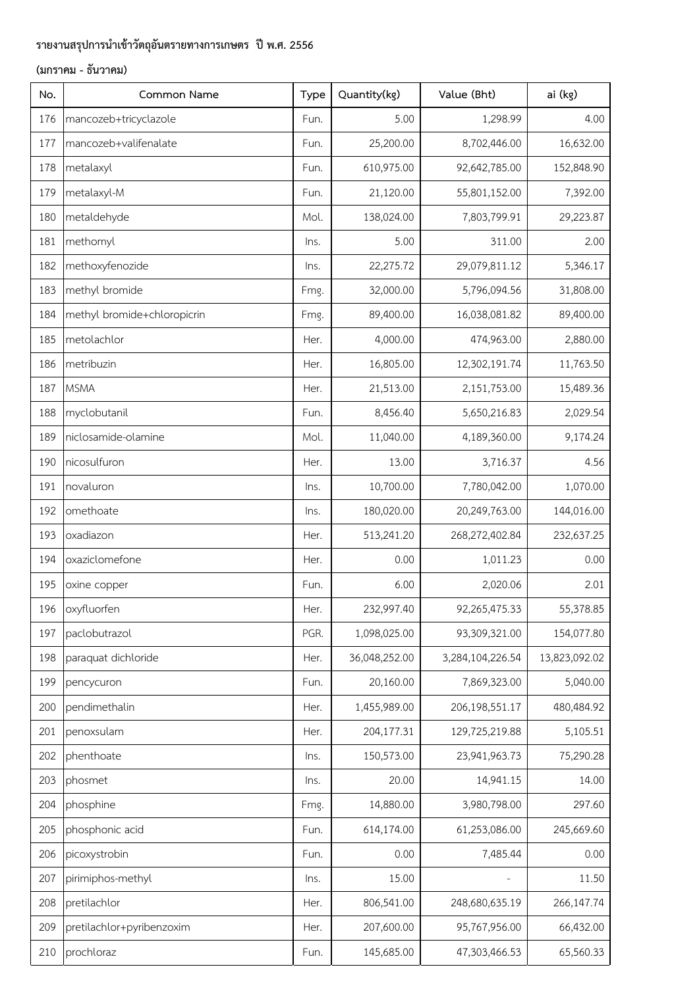| No. | Common Name                 | Type | Quantity(kg)  | Value (Bht)       | ai (kg)       |
|-----|-----------------------------|------|---------------|-------------------|---------------|
| 176 | mancozeb+tricyclazole       | Fun. | 5.00          | 1,298.99          | 4.00          |
| 177 | mancozeb+valifenalate       | Fun. | 25,200.00     | 8,702,446.00      | 16,632.00     |
| 178 | metalaxyl                   | Fun. | 610,975.00    | 92,642,785.00     | 152,848.90    |
| 179 | metalaxyl-M                 | Fun. | 21,120.00     | 55,801,152.00     | 7,392.00      |
| 180 | metaldehyde                 | Mol. | 138,024.00    | 7,803,799.91      | 29,223.87     |
| 181 | methomyl                    | lns. | 5.00          | 311.00            | 2.00          |
| 182 | methoxyfenozide             | lns. | 22,275.72     | 29,079,811.12     | 5,346.17      |
| 183 | methyl bromide              | Fmg. | 32,000.00     | 5,796,094.56      | 31,808.00     |
| 184 | methyl bromide+chloropicrin | Fmg. | 89,400.00     | 16,038,081.82     | 89,400.00     |
| 185 | metolachlor                 | Her. | 4,000.00      | 474,963.00        | 2,880.00      |
| 186 | metribuzin                  | Her. | 16,805.00     | 12,302,191.74     | 11,763.50     |
| 187 | <b>MSMA</b>                 | Her. | 21,513.00     | 2,151,753.00      | 15,489.36     |
| 188 | myclobutanil                | Fun. | 8,456.40      | 5,650,216.83      | 2,029.54      |
| 189 | niclosamide-olamine         | Mol. | 11,040.00     | 4,189,360.00      | 9,174.24      |
| 190 | nicosulfuron                | Her. | 13.00         | 3,716.37          | 4.56          |
| 191 | novaluron                   | Ins. | 10,700.00     | 7,780,042.00      | 1,070.00      |
| 192 | omethoate                   | Ins. | 180,020.00    | 20,249,763.00     | 144,016.00    |
| 193 | oxadiazon                   | Her. | 513,241.20    | 268,272,402.84    | 232,637.25    |
| 194 | oxaziclomefone              | Her. | 0.00          | 1,011.23          | 0.00          |
| 195 | oxine copper                | Fun. | 6.00          | 2,020.06          | 2.01          |
| 196 | oxyfluorfen                 | Her. | 232,997.40    | 92,265,475.33     | 55,378.85     |
| 197 | paclobutrazol               | PGR. | 1,098,025.00  | 93,309,321.00     | 154,077.80    |
| 198 | paraquat dichloride         | Her. | 36,048,252.00 | 3,284,104,226.54  | 13,823,092.02 |
| 199 | pencycuron                  | Fun. | 20,160.00     | 7,869,323.00      | 5,040.00      |
| 200 | pendimethalin               | Her. | 1,455,989.00  | 206,198,551.17    | 480,484.92    |
| 201 | penoxsulam                  | Her. | 204,177.31    | 129,725,219.88    | 5,105.51      |
| 202 | phenthoate                  | Ins. | 150,573.00    | 23,941,963.73     | 75,290.28     |
| 203 | phosmet                     | lns. | 20.00         | 14,941.15         | 14.00         |
| 204 | phosphine                   | Fmg. | 14,880.00     | 3,980,798.00      | 297.60        |
| 205 | phosphonic acid             | Fun. | 614,174.00    | 61,253,086.00     | 245,669.60    |
| 206 | picoxystrobin               | Fun. | 0.00          | 7,485.44          | 0.00          |
| 207 | pirimiphos-methyl           | lns. | 15.00         | $\qquad \qquad -$ | 11.50         |
| 208 | pretilachlor                | Her. | 806,541.00    | 248,680,635.19    | 266,147.74    |
| 209 | pretilachlor+pyribenzoxim   | Her. | 207,600.00    | 95,767,956.00     | 66,432.00     |
| 210 | prochloraz                  | Fun. | 145,685.00    | 47,303,466.53     | 65,560.33     |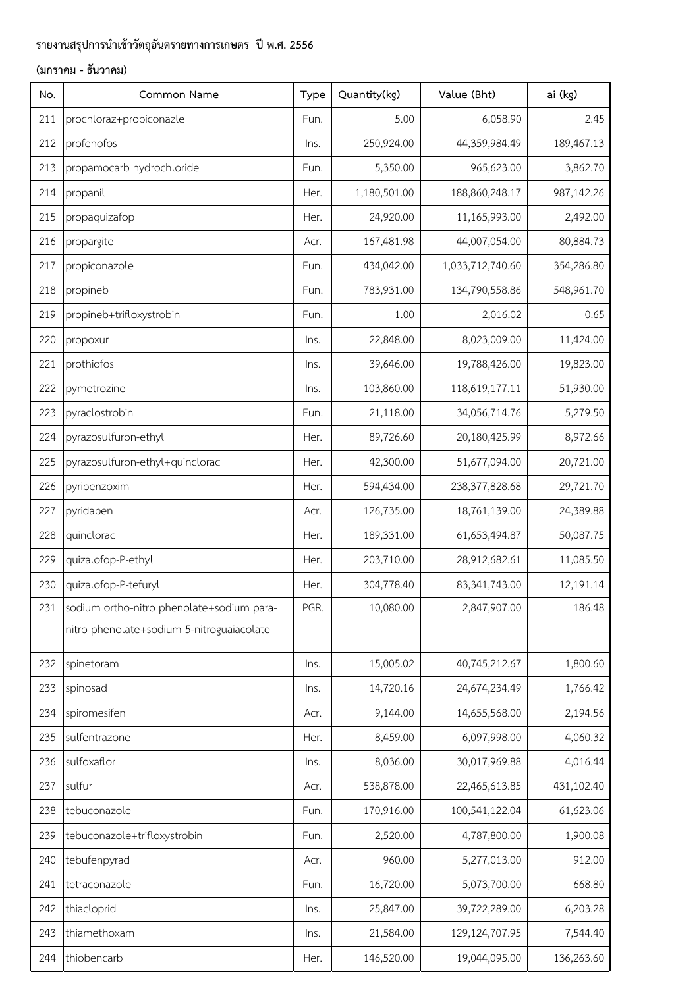| No. | Common Name                               | Type | Quantity(kg) | Value (Bht)      | ai (kg)    |
|-----|-------------------------------------------|------|--------------|------------------|------------|
| 211 | prochloraz+propiconazle                   | Fun. | 5.00         | 6,058.90         | 2.45       |
| 212 | profenofos                                | Ins. | 250,924.00   | 44,359,984.49    | 189,467.13 |
| 213 | propamocarb hydrochloride                 | Fun. | 5,350.00     | 965,623.00       | 3,862.70   |
| 214 | propanil                                  | Her. | 1,180,501.00 | 188,860,248.17   | 987,142.26 |
| 215 | propaquizafop                             | Her. | 24,920.00    | 11,165,993.00    | 2,492.00   |
| 216 | propargite                                | Acr. | 167,481.98   | 44,007,054.00    | 80,884.73  |
| 217 | propiconazole                             | Fun. | 434,042.00   | 1,033,712,740.60 | 354,286.80 |
| 218 | propineb                                  | Fun. | 783,931.00   | 134,790,558.86   | 548,961.70 |
| 219 | propineb+trifloxystrobin                  | Fun. | 1.00         | 2,016.02         | 0.65       |
| 220 | propoxur                                  | Ins. | 22,848.00    | 8,023,009.00     | 11,424.00  |
| 221 | prothiofos                                | Ins. | 39,646.00    | 19,788,426.00    | 19,823.00  |
| 222 | pymetrozine                               | Ins. | 103,860.00   | 118,619,177.11   | 51,930.00  |
| 223 | pyraclostrobin                            | Fun. | 21,118.00    | 34,056,714.76    | 5,279.50   |
| 224 | pyrazosulfuron-ethyl                      | Her. | 89,726.60    | 20,180,425.99    | 8,972.66   |
| 225 | pyrazosulfuron-ethyl+quinclorac           | Her. | 42,300.00    | 51,677,094.00    | 20,721.00  |
| 226 | pyribenzoxim                              | Her. | 594,434.00   | 238,377,828.68   | 29,721.70  |
| 227 | pyridaben                                 | Acr. | 126,735.00   | 18,761,139.00    | 24,389.88  |
| 228 | quinclorac                                | Her. | 189,331.00   | 61,653,494.87    | 50,087.75  |
| 229 | quizalofop-P-ethyl                        | Her. | 203,710.00   | 28,912,682.61    | 11,085.50  |
| 230 | quizalofop-P-tefuryl                      | Her. | 304,778.40   | 83,341,743.00    | 12,191.14  |
| 231 | sodium ortho-nitro phenolate+sodium para- | PGR. | 10,080.00    | 2,847,907.00     | 186.48     |
|     | nitro phenolate+sodium 5-nitroguaiacolate |      |              |                  |            |
| 232 | spinetoram                                | Ins. | 15,005.02    | 40,745,212.67    | 1,800.60   |
| 233 | spinosad                                  | Ins. | 14,720.16    | 24,674,234.49    | 1,766.42   |
| 234 | spiromesifen                              | Acr. | 9,144.00     | 14,655,568.00    | 2,194.56   |
| 235 | sulfentrazone                             | Her. | 8,459.00     | 6,097,998.00     | 4,060.32   |
| 236 | sulfoxaflor                               | Ins. | 8,036.00     | 30,017,969.88    | 4,016.44   |
| 237 | sulfur                                    | Acr. | 538,878.00   | 22,465,613.85    | 431,102.40 |
| 238 | tebuconazole                              | Fun. | 170,916.00   | 100,541,122.04   | 61,623.06  |
| 239 | tebuconazole+trifloxystrobin              | Fun. | 2,520.00     | 4,787,800.00     | 1,900.08   |
| 240 | tebufenpyrad                              | Acr. | 960.00       | 5,277,013.00     | 912.00     |
| 241 | tetraconazole                             | Fun. | 16,720.00    | 5,073,700.00     | 668.80     |
| 242 | thiacloprid                               | Ins. | 25,847.00    | 39,722,289.00    | 6,203.28   |
| 243 | thiamethoxam                              | Ins. | 21,584.00    | 129,124,707.95   | 7,544.40   |
| 244 | thiobencarb                               | Her. | 146,520.00   | 19,044,095.00    | 136,263.60 |